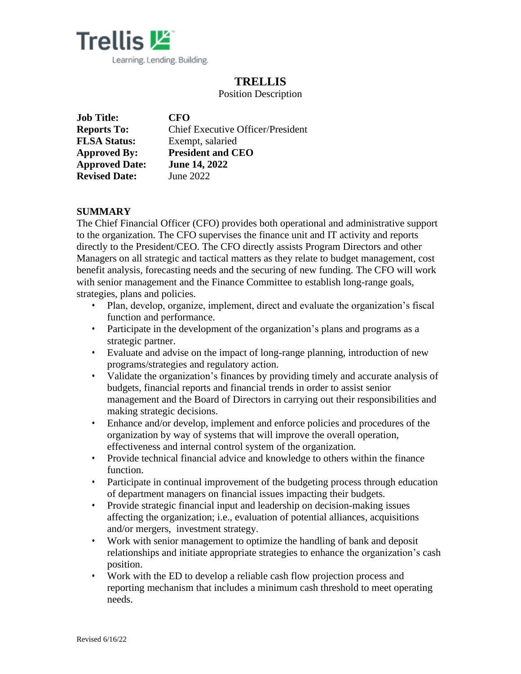

# **TRELLIS**

Position Description

| <b>Job Title:</b>     | <b>CFO</b>                               |
|-----------------------|------------------------------------------|
| <b>Reports To:</b>    | <b>Chief Executive Officer/President</b> |
| <b>FLSA Status:</b>   | Exempt, salaried                         |
| <b>Approved By:</b>   | <b>President and CEO</b>                 |
| <b>Approved Date:</b> | <b>June 14, 2022</b>                     |
| <b>Revised Date:</b>  | June 2022                                |

# **SUMMARY**

The Chief Financial Officer (CFO) provides both operational and administrative support to the organization. The CFO supervises the finance unit and IT activity and reports directly to the President/CEO. The CFO directly assists Program Directors and other Managers on all strategic and tactical matters as they relate to budget management, cost benefit analysis, forecasting needs and the securing of new funding. The CFO will work with senior management and the Finance Committee to establish long-range goals, strategies, plans and policies.

- Plan, develop, organize, implement, direct and evaluate the organization's fiscal function and performance.
- Participate in the development of the organization's plans and programs as a strategic partner.
- Evaluate and advise on the impact of long-range planning, introduction of new programs/strategies and regulatory action.
- Validate the organization's finances by providing timely and accurate analysis of budgets, financial reports and financial trends in order to assist senior management and the Board of Directors in carrying out their responsibilities and making strategic decisions.
- Enhance and/or develop, implement and enforce policies and procedures of the organization by way of systems that will improve the overall operation, effectiveness and internal control system of the organization.
- Provide technical financial advice and knowledge to others within the finance function.
- Participate in continual improvement of the budgeting process through education of department managers on financial issues impacting their budgets.
- Provide strategic financial input and leadership on decision-making issues affecting the organization; i.e., evaluation of potential alliances, acquisitions and/or mergers, investment strategy.
- Work with senior management to optimize the handling of bank and deposit relationships and initiate appropriate strategies to enhance the organization's cash position.
- Work with the ED to develop a reliable cash flow projection process and reporting mechanism that includes a minimum cash threshold to meet operating needs.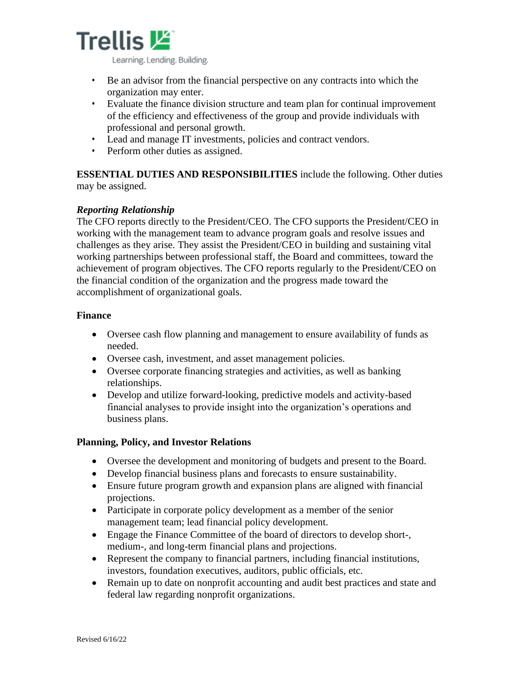

- Be an advisor from the financial perspective on any contracts into which the organization may enter.
- Evaluate the finance division structure and team plan for continual improvement of the efficiency and effectiveness of the group and provide individuals with professional and personal growth.
- Lead and manage IT investments, policies and contract vendors.
- Perform other duties as assigned.

**ESSENTIAL DUTIES AND RESPONSIBILITIES** include the following. Other duties may be assigned.

# *Reporting Relationship*

The CFO reports directly to the President/CEO. The CFO supports the President/CEO in working with the management team to advance program goals and resolve issues and challenges as they arise. They assist the President/CEO in building and sustaining vital working partnerships between professional staff, the Board and committees, toward the achievement of program objectives. The CFO reports regularly to the President/CEO on the financial condition of the organization and the progress made toward the accomplishment of organizational goals.

### **Finance**

- Oversee cash flow planning and management to ensure availability of funds as needed.
- Oversee cash, investment, and asset management policies.
- Oversee corporate financing strategies and activities, as well as banking relationships.
- Develop and utilize forward-looking, predictive models and activity-based financial analyses to provide insight into the organization's operations and business plans.

# **Planning, Policy, and Investor Relations**

- Oversee the development and monitoring of budgets and present to the Board.
- Develop financial business plans and forecasts to ensure sustainability.
- Ensure future program growth and expansion plans are aligned with financial projections.
- Participate in corporate policy development as a member of the senior management team; lead financial policy development.
- Engage the Finance Committee of the board of directors to develop short-, medium-, and long-term financial plans and projections.
- Represent the company to financial partners, including financial institutions, investors, foundation executives, auditors, public officials, etc.
- Remain up to date on nonprofit accounting and audit best practices and state and federal law regarding nonprofit organizations.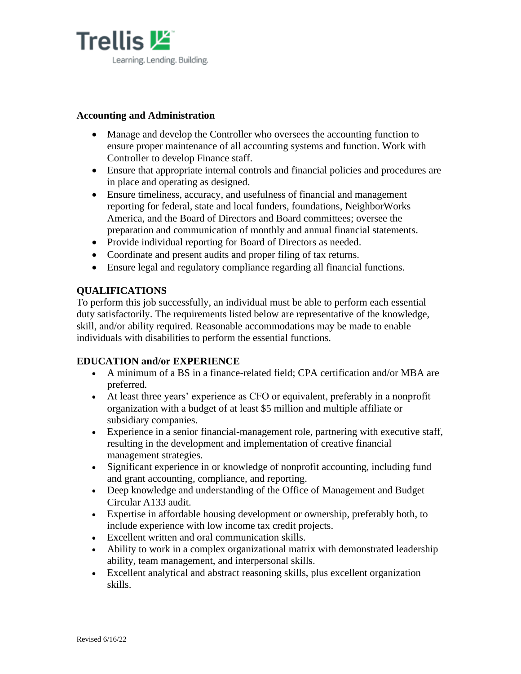

### **Accounting and Administration**

- Manage and develop the Controller who oversees the accounting function to ensure proper maintenance of all accounting systems and function. Work with Controller to develop Finance staff.
- Ensure that appropriate internal controls and financial policies and procedures are in place and operating as designed.
- Ensure timeliness, accuracy, and usefulness of financial and management reporting for federal, state and local funders, foundations, NeighborWorks America, and the Board of Directors and Board committees; oversee the preparation and communication of monthly and annual financial statements.
- Provide individual reporting for Board of Directors as needed.
- Coordinate and present audits and proper filing of tax returns.
- Ensure legal and regulatory compliance regarding all financial functions.

# **QUALIFICATIONS**

To perform this job successfully, an individual must be able to perform each essential duty satisfactorily. The requirements listed below are representative of the knowledge, skill, and/or ability required. Reasonable accommodations may be made to enable individuals with disabilities to perform the essential functions.

#### **EDUCATION and/or EXPERIENCE**

- A minimum of a BS in a finance-related field; CPA certification and/or MBA are preferred.
- At least three years' experience as CFO or equivalent, preferably in a nonprofit organization with a budget of at least \$5 million and multiple affiliate or subsidiary companies.
- Experience in a senior financial-management role, partnering with executive staff, resulting in the development and implementation of creative financial management strategies.
- Significant experience in or knowledge of nonprofit accounting, including fund and grant accounting, compliance, and reporting.
- Deep knowledge and understanding of the Office of Management and Budget Circular A133 audit.
- Expertise in affordable housing development or ownership, preferably both, to include experience with low income tax credit projects.
- Excellent written and oral communication skills.
- Ability to work in a complex organizational matrix with demonstrated leadership ability, team management, and interpersonal skills.
- Excellent analytical and abstract reasoning skills, plus excellent organization skills.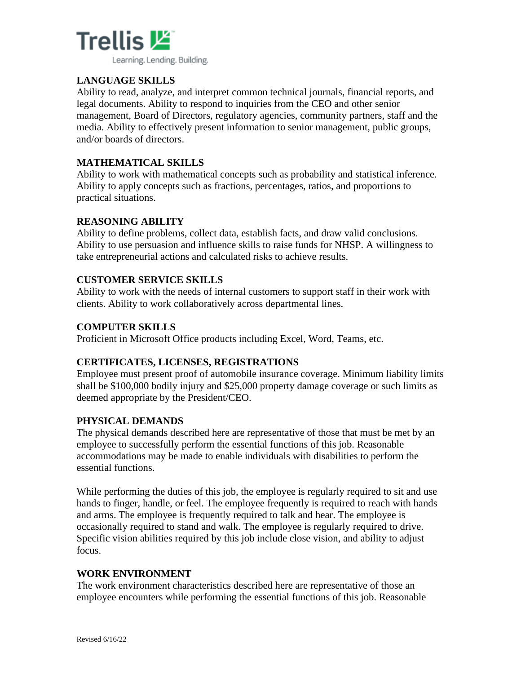

# **LANGUAGE SKILLS**

Ability to read, analyze, and interpret common technical journals, financial reports, and legal documents. Ability to respond to inquiries from the CEO and other senior management, Board of Directors, regulatory agencies, community partners, staff and the media. Ability to effectively present information to senior management, public groups, and/or boards of directors.

### **MATHEMATICAL SKILLS**

Ability to work with mathematical concepts such as probability and statistical inference. Ability to apply concepts such as fractions, percentages, ratios, and proportions to practical situations.

### **REASONING ABILITY**

Ability to define problems, collect data, establish facts, and draw valid conclusions. Ability to use persuasion and influence skills to raise funds for NHSP. A willingness to take entrepreneurial actions and calculated risks to achieve results.

#### **CUSTOMER SERVICE SKILLS**

Ability to work with the needs of internal customers to support staff in their work with clients. Ability to work collaboratively across departmental lines.

#### **COMPUTER SKILLS**

Proficient in Microsoft Office products including Excel, Word, Teams, etc.

# **CERTIFICATES, LICENSES, REGISTRATIONS**

Employee must present proof of automobile insurance coverage. Minimum liability limits shall be \$100,000 bodily injury and \$25,000 property damage coverage or such limits as deemed appropriate by the President/CEO.

#### **PHYSICAL DEMANDS**

The physical demands described here are representative of those that must be met by an employee to successfully perform the essential functions of this job. Reasonable accommodations may be made to enable individuals with disabilities to perform the essential functions.

While performing the duties of this job, the employee is regularly required to sit and use hands to finger, handle, or feel. The employee frequently is required to reach with hands and arms. The employee is frequently required to talk and hear. The employee is occasionally required to stand and walk. The employee is regularly required to drive. Specific vision abilities required by this job include close vision, and ability to adjust focus.

#### **WORK ENVIRONMENT**

The work environment characteristics described here are representative of those an employee encounters while performing the essential functions of this job. Reasonable